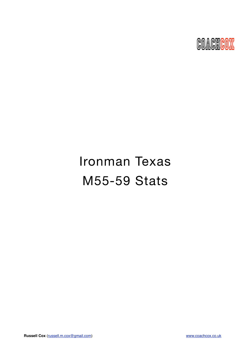

# Ironman Texas M55-59 Stats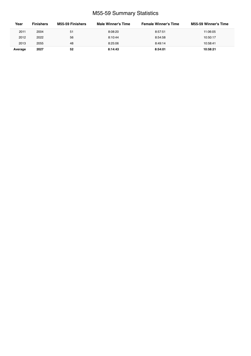# M55-59 Summary Statistics

| Year    | <b>Finishers</b> | M55-59 Finishers | Male Winner's Time | <b>Female Winner's Time</b> | <b>M55-59 Winner's Time</b> |
|---------|------------------|------------------|--------------------|-----------------------------|-----------------------------|
| 2011    | 2004             | 51               | 8:08:20            | 8:57:51                     | 11:06:05                    |
| 2012    | 2022             | 56               | 8:10:44            | 8:54:58                     | 10:50:17                    |
| 2013    | 2055             | 48               | 8:25:06            | 8:49:14                     | 10:58:41                    |
| Average | 2027             | 52               | 8:14:43            | 8:54:01                     | 10:58:21                    |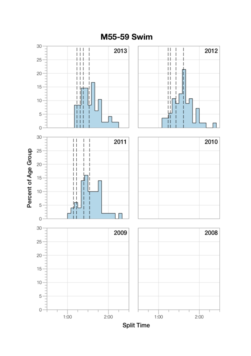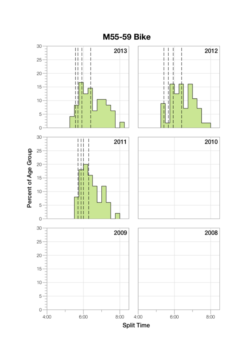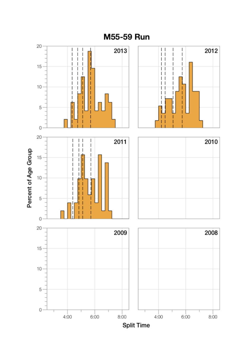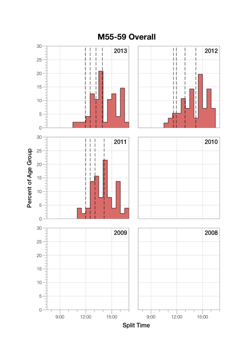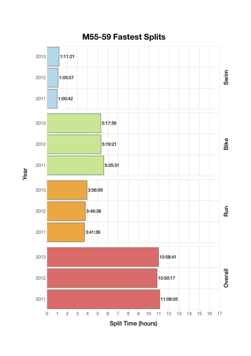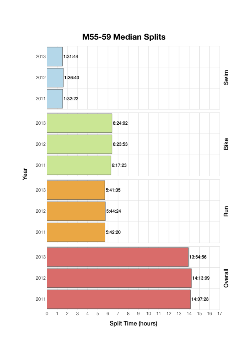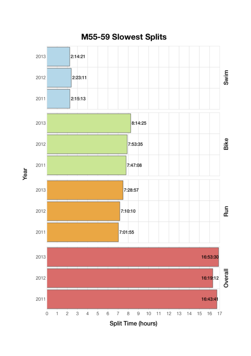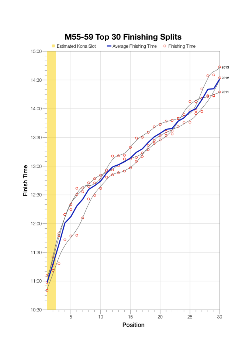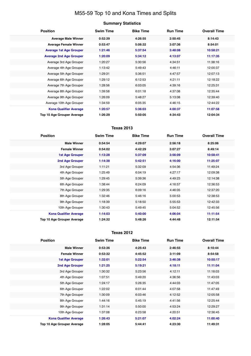# M55-59 Top 10 and Kona Times and Splits

## **Summary Statistics**

| <b>Position</b>                   | <b>Swim Time</b> | <b>Bike Time</b> | <b>Run Time</b> | <b>Overall Time</b> |
|-----------------------------------|------------------|------------------|-----------------|---------------------|
| <b>Average Male Winner</b>        | 0:52:39          | 4:26:55          | 2:50:45         | 8:14:43             |
| <b>Average Female Winner</b>      | 0:53:47          | 5:06:32          | 3:07:36         | 8:54:01             |
| <b>Average 1st Age Grouper</b>    | 1:21:46          | 5:37:54          | 3:48:08         | 10:58:21            |
| <b>Average 2nd Age Grouper</b>    | 1:20:09          | 5:34:12          | 4:13:07         | 11:17:35            |
| Average 3rd Age Grouper           | 1:20:27          | 5:30:56          | 4:34:51         | 11:38:16            |
| Average 4th Age Grouper           | 1:13:42          | 5:49:43          | 4:46:11         | 12:00:37            |
| Average 5th Age Grouper           | 1:29:31          | 5:36:51          | 4:47:57         | 12:07:13            |
| Average 6th Age Grouper           | 1:29:12          | 6:12:53          | 4:21:11         | 12:18:22            |
| Average 7th Age Grouper           | 1:28:56          | 6:03:05          | 4:39:16         | 12:25:31            |
| Average 8th Age Grouper           | 1:39:58          | 6:01:18          | 4:37:08         | 12:35:44            |
| Average 9th Age Grouper           | 1:26:09          | 5:48:27          | 5:13:08         | 12:39:40            |
| Average 10th Age Grouper          | 1:34:59          | 6:05:35          | 4:46:15         | 12:44:22            |
| <b>Kona Qualifier Average</b>     | 1:20:57          | 5:36:03          | 4:00:37         | 11:07:58            |
| <b>Top 10 Age Grouper Average</b> | 1:26:29          | 5:50:05          | 4:34:43         | 12:04:34            |

## **Texas 2013**

| <b>Position</b>               | <b>Swim Time</b> | <b>Bike Time</b> | <b>Run Time</b> | <b>Overall Time</b> |
|-------------------------------|------------------|------------------|-----------------|---------------------|
| <b>Male Winner</b>            | 0:54:54          | 4:29:07          | 2:56:18         | 8:25:06             |
| <b>Female Winner</b>          | 0:54:02          | 4:42:29          | 3:07:27         | 8:49:14             |
| <b>1st Age Grouper</b>        | 1:13:28          | 5:37:09          | 3:56:09         | 10:58:41            |
| 2nd Age Grouper               | 1:14:38          | 5:42:51          | 4:16:00         | 11:25:07            |
| 3rd Age Grouper               | 1:11:21          | 5:32:09          | 4:54:36         | 11:49:24            |
| 4th Age Grouper               | 1:25:49          | 6:04:19          | 4:27:17         | 12:09:38            |
| 5th Age Grouper               | 1:29:45          | 5:39:36          | 4:49:23         | 12:14:38            |
| 6th Age Grouper               | 1:38:44          | 6:24:09          | 4:16:57         | 12:36:53            |
| 7th Age Grouper               | 1:29:35          | 6:09:16          | 4:46:05         | 12:37:20            |
| 8th Age Grouper               | 1:32:46          | 5:46:16          | 5:00:53         | 12:38:53            |
| 9th Age Grouper               | 1:18:39          | 5:18:50          | 5:55:53         | 12:42:33            |
| 10th Age Grouper              | 1:30:43          | 5:49:45          | 5:04:52         | 12:45:56            |
| <b>Kona Qualifier Average</b> | 1:14:03          | 5:40:00          | 4:06:04         | 11:11:54            |
| Top 10 Age Grouper Average    | 1:24:32          | 5:48:26          | 4:44:48         | 12:11:54            |

#### **Texas 2012**

| <b>Position</b>                   | <b>Swim Time</b> | <b>Bike Time</b> | <b>Run Time</b> | <b>Overall Time</b> |
|-----------------------------------|------------------|------------------|-----------------|---------------------|
| <b>Male Winner</b>                | 0:53:36          | 4:25:43          | 2:46:55         | 8:10:44             |
| <b>Female Winner</b>              | 0:53:32          | 4:45:52          | 3:11:09         | 8:54:58             |
| <b>1st Age Grouper</b>            | 1:32:01          | 5:22:54          | 3:46:38         | 10:50:17            |
| <b>2nd Age Grouper</b>            | 1:21:25          | 5:19:21          | 4:18:11         | 11:11:04            |
| 3rd Age Grouper                   | 1:30:32          | 5:23:56          | 4:12:11         | 11:18:03            |
| 4th Age Grouper                   | 1:07:51          | 5:49:20          | 4:36:56         | 11:43:03            |
| 5th Age Grouper                   | 1:24:17          | 5:26:35          | 4:44:03         | 11:47:05            |
| 6th Age Grouper                   | 1:22:02          | 6:01:44          | 4:07:58         | 11:47:49            |
| 7th Age Grouper                   | 1:30:09          | 6:03:46          | 4:12:52         | 12:05:58            |
| 8th Age Grouper                   | 1:44:16          | 5:45:19          | 4:41:56         | 12:25:44            |
| 9th Age Grouper                   | 1:31:14          | 5:50:00          | 4:53:24         | 12:29:27            |
| 10th Age Grouper                  | 1:37:08          | 6:23:58          | 4:20:51         | 12:36:45            |
| <b>Kona Qualifier Average</b>     | 1:26:43          | 5:21:07          | 4:02:24         | 11:00:40            |
| <b>Top 10 Age Grouper Average</b> | 1:28:05          | 5:44:41          | 4:23:30         | 11:49:31            |